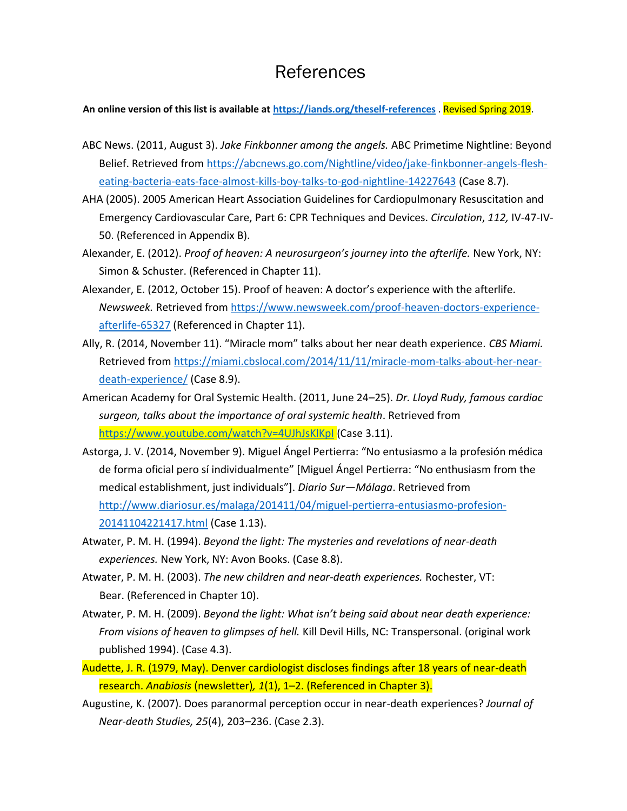## References

## **An online version of this list is available a[t https://iands.org/theself-references](https://iands.org/theself-references)** . Revised Spring 2019.

- ABC News. (2011, August 3). *Jake Finkbonner among the angels.* ABC Primetime Nightline: Beyond Belief. Retrieved from [https://abcnews.go.com/Nightline/video/jake-finkbonner-angels-flesh](https://abcnews.go.com/Nightline/video/jake-finkbonner-angels-flesh-eating-bacteria-eats-face-almost-kills-boy-talks-to-god-nightline-14227643)[eating-bacteria-eats-face-almost-kills-boy-talks-to-god-nightline-14227643](https://abcnews.go.com/Nightline/video/jake-finkbonner-angels-flesh-eating-bacteria-eats-face-almost-kills-boy-talks-to-god-nightline-14227643) (Case 8.7).
- AHA (2005). 2005 American Heart Association Guidelines for Cardiopulmonary Resuscitation and Emergency Cardiovascular Care, Part 6: CPR Techniques and Devices. *Circulation*, *112,* IV-47-IV-50. (Referenced in Appendix B).
- Alexander, E. (2012). *Proof of heaven: A neurosurgeon's journey into the afterlife.* New York, NY: Simon & Schuster. (Referenced in Chapter 11).
- Alexander, E. (2012, October 15). Proof of heaven: A doctor's experience with the afterlife. *Newsweek.* Retrieved from [https://www.newsweek.com/proof-heaven-doctors-experience](https://www.newsweek.com/proof-heaven-doctors-experience-afterlife-65327)[afterlife-65327](https://www.newsweek.com/proof-heaven-doctors-experience-afterlife-65327) (Referenced in Chapter 11).
- Ally, R. (2014, November 11). "Miracle mom" talks about her near death experience. *CBS Miami.* Retrieved from [https://miami.cbslocal.com/2014/11/11/miracle-mom-talks-about-her-near](https://miami.cbslocal.com/2014/11/11/miracle-mom-talks-about-her-near-death-experience/)[death-experience/](https://miami.cbslocal.com/2014/11/11/miracle-mom-talks-about-her-near-death-experience/) (Case 8.9).
- American Academy for Oral Systemic Health. (2011, June 24–25). *Dr. Lloyd Rudy, famous cardiac surgeon, talks about the importance of oral systemic health*. Retrieved from <https://www.youtube.com/watch?v=4UJhJsKlKpI> (Case 3.11).
- Astorga, J. V. (2014, November 9). Miguel Ángel Pertierra: "No entusiasmo a la profesión médica de forma oficial pero sí individualmente" [Miguel Ángel Pertierra: "No enthusiasm from the medical establishment, just individuals"]. *Diario Sur—Málaga*. Retrieved from [http://www.diariosur.es/malaga/201411/04/miguel-pertierra-entusiasmo-profesion-](http://www.diariosur.es/malaga/201411/04/miguel-pertierra-entusiasmo-profesion-20141104221417.html)[20141104221417.html](http://www.diariosur.es/malaga/201411/04/miguel-pertierra-entusiasmo-profesion-20141104221417.html) (Case 1.13).
- Atwater, P. M. H. (1994). *Beyond the light: The mysteries and revelations of near-death experiences.* New York, NY: Avon Books. (Case 8.8).
- Atwater, P. M. H. (2003). *The new children and near-death experiences.* Rochester, VT: Bear. (Referenced in Chapter 10).
- Atwater, P. M. H. (2009). *Beyond the light: What isn't being said about near death experience: From visions of heaven to glimpses of hell.* Kill Devil Hills, NC: Transpersonal. (original work published 1994). (Case 4.3).
- Audette, J. R. (1979, May). Denver cardiologist discloses findings after 18 years of near-death research. *Anabiosis* (newsletter)*, 1*(1), 1–2. (Referenced in Chapter 3).
- Augustine, K. (2007). Does paranormal perception occur in near-death experiences? *Journal of Near-death Studies, 25*(4), 203–236. (Case 2.3).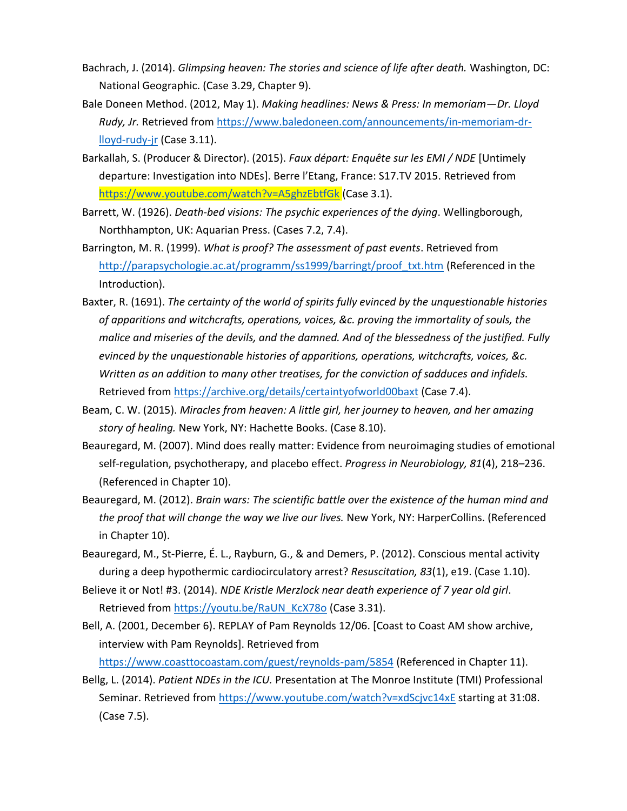- Bachrach, J. (2014). *Glimpsing heaven: The stories and science of life after death.* Washington, DC: National Geographic. (Case 3.29, Chapter 9).
- Bale Doneen Method. (2012, May 1). *Making headlines: News & Press: In memoriam—Dr. Lloyd Rudy, Jr.* Retrieved fro[m https://www.baledoneen.com/announcements/in-memoriam-dr](https://www.baledoneen.com/announcements/in-memoriam-dr-lloyd-rudy-jr)[lloyd-rudy-jr](https://www.baledoneen.com/announcements/in-memoriam-dr-lloyd-rudy-jr) (Case 3.11).
- Barkallah, S. (Producer & Director). (2015). *Faux départ: Enquête sur les EMI / NDE* [Untimely departure: Investigation into NDEs]. Berre l'Etang, France: S17.TV 2015. Retrieved from <https://www.youtube.com/watch?v=A5ghzEbtfGk> (Case 3.1).
- Barrett, W. (1926). *Death-bed visions: The psychic experiences of the dying*. Wellingborough, Northhampton, UK: Aquarian Press. (Cases 7.2, 7.4).
- Barrington, M. R. (1999). *What is proof? The assessment of past events*. Retrieved from [http://parapsychologie.ac.at/programm/ss1999/barringt/proof\\_txt.htm](http://parapsychologie.ac.at/programm/ss1999/barringt/proof_txt.htm) (Referenced in the Introduction).
- Baxter, R. (1691). *The certainty of the world of spirits fully evinced by the unquestionable histories of apparitions and witchcrafts, operations, voices, &c. proving the immortality of souls, the malice and miseries of the devils, and the damned. And of the blessedness of the justified. Fully evinced by the unquestionable histories of apparitions, operations, witchcrafts, voices, &c. Written as an addition to many other treatises, for the conviction of sadduces and infidels.* Retrieved from<https://archive.org/details/certaintyofworld00baxt> (Case 7.4).
- Beam, C. W. (2015). *Miracles from heaven: A little girl, her journey to heaven, and her amazing story of healing.* New York, NY: Hachette Books. (Case 8.10).
- Beauregard, M. (2007). Mind does really matter: Evidence from neuroimaging studies of emotional self-regulation, psychotherapy, and placebo effect. *Progress in Neurobiology, 81*(4), 218–236. (Referenced in Chapter 10).
- Beauregard, M. (2012). *Brain wars: The scientific battle over the existence of the human mind and the proof that will change the way we live our lives.* New York, NY: HarperCollins. (Referenced in Chapter 10).
- Beauregard, M., St-Pierre, É. L., Rayburn, G., & and Demers, P. (2012). Conscious mental activity during a deep hypothermic cardiocirculatory arrest? *Resuscitation, 83*(1), e19. (Case 1.10).
- Believe it or Not! #3. (2014). *NDE Kristle Merzlock near death experience of 7 year old girl*. Retrieved from [https://youtu.be/RaUN\\_KcX78o](https://youtu.be/RaUN_KcX78o) (Case 3.31).
- Bell, A. (2001, December 6). REPLAY of Pam Reynolds 12/06. [Coast to Coast AM show archive, interview with Pam Reynolds]. Retrieved from

<https://www.coasttocoastam.com/guest/reynolds-pam/5854> (Referenced in Chapter 11).

Bellg, L. (2014). *Patient NDEs in the ICU.* Presentation at The Monroe Institute (TMI) Professional Seminar. Retrieved from<https://www.youtube.com/watch?v=xdScjvc14xE> starting at 31:08. (Case 7.5).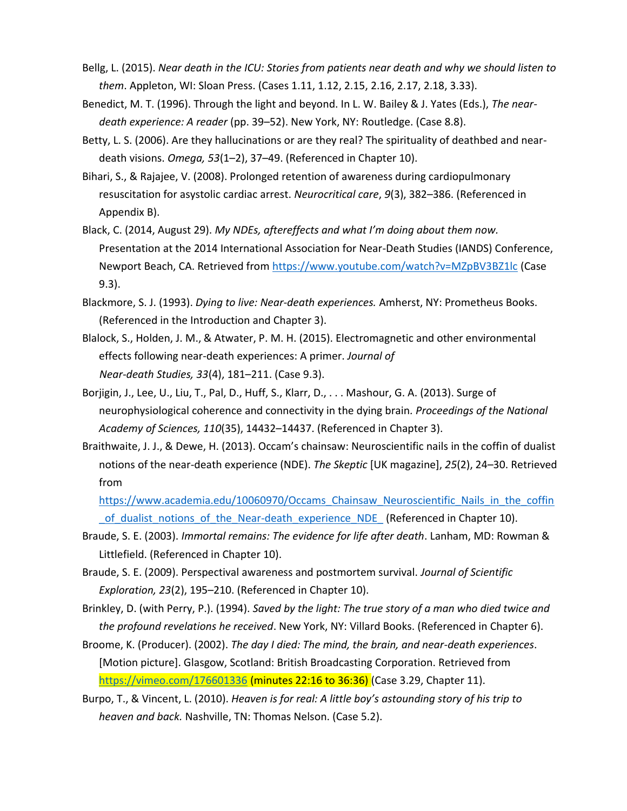- Bellg, L. (2015). *Near death in the ICU: Stories from patients near death and why we should listen to them*. Appleton, WI: Sloan Press. (Cases 1.11, 1.12, 2.15, 2.16, 2.17, 2.18, 3.33).
- Benedict, M. T. (1996). Through the light and beyond. In L. W. Bailey & J. Yates (Eds.), *The neardeath experience: A reader* (pp. 39–52). New York, NY: Routledge. (Case 8.8).
- Betty, L. S. (2006). Are they hallucinations or are they real? The spirituality of deathbed and neardeath visions. *Omega, 53*(1–2), 37–49. (Referenced in Chapter 10).
- Bihari, S., & Rajajee, V. (2008). Prolonged retention of awareness during cardiopulmonary resuscitation for asystolic cardiac arrest. *Neurocritical care*, *9*(3), 382–386. (Referenced in Appendix B).
- Black, C. (2014, August 29). *My NDEs, aftereffects and what I'm doing about them now.* Presentation at the 2014 International Association for Near-Death Studies (IANDS) Conference, Newport Beach, CA. Retrieved from<https://www.youtube.com/watch?v=MZpBV3BZ1lc> (Case 9.3).
- Blackmore, S. J. (1993). *Dying to live: Near-death experiences.* Amherst, NY: Prometheus Books. (Referenced in the Introduction and Chapter 3).
- Blalock, S., Holden, J. M., & Atwater, P. M. H. (2015). Electromagnetic and other environmental effects following near-death experiences: A primer. *Journal of Near-death Studies, 33*(4), 181–211. (Case 9.3).
- Borjigin, J., Lee, U., Liu, T., Pal, D., Huff, S., Klarr, D., . . . Mashour, G. A. (2013). Surge of neurophysiological coherence and connectivity in the dying brain*. Proceedings of the National Academy of Sciences, 110*(35), 14432–14437. (Referenced in Chapter 3).
- Braithwaite, J. J., & Dewe, H. (2013). Occam's chainsaw: Neuroscientific nails in the coffin of dualist notions of the near-death experience (NDE). *The Skeptic* [UK magazine], *25*(2), 24–30. Retrieved from

https://www.academia.edu/10060970/Occams Chainsaw Neuroscientific Nails in the coffin [\\_of\\_dualist\\_notions\\_of\\_the\\_Near-death\\_experience\\_NDE\\_](https://www.academia.edu/10060970/Occams_Chainsaw_Neuroscientific_Nails_in_the_coffin_of_dualist_notions_of_the_Near-death_experience_NDE_) (Referenced in Chapter 10).

- Braude, S. E. (2003). *Immortal remains: The evidence for life after death*. Lanham, MD: Rowman & Littlefield. (Referenced in Chapter 10).
- Braude, S. E. (2009). Perspectival awareness and postmortem survival. *Journal of Scientific Exploration, 23*(2), 195–210. (Referenced in Chapter 10).

Brinkley, D. (with Perry, P.). (1994). *Saved by the light: The true story of a man who died twice and the profound revelations he received*. New York, NY: Villard Books. (Referenced in Chapter 6).

Broome, K. (Producer). (2002). *The day I died: The mind, the brain, and near-death experiences*. [Motion picture]. Glasgow, Scotland: British Broadcasting Corporation. Retrieved from <https://vimeo.com/176601336> (minutes 22:16 to 36:36) (Case 3.29, Chapter 11).

Burpo, T., & Vincent, L. (2010). *Heaven is for real: A little boy's astounding story of his trip to heaven and back.* Nashville, TN: Thomas Nelson. (Case 5.2).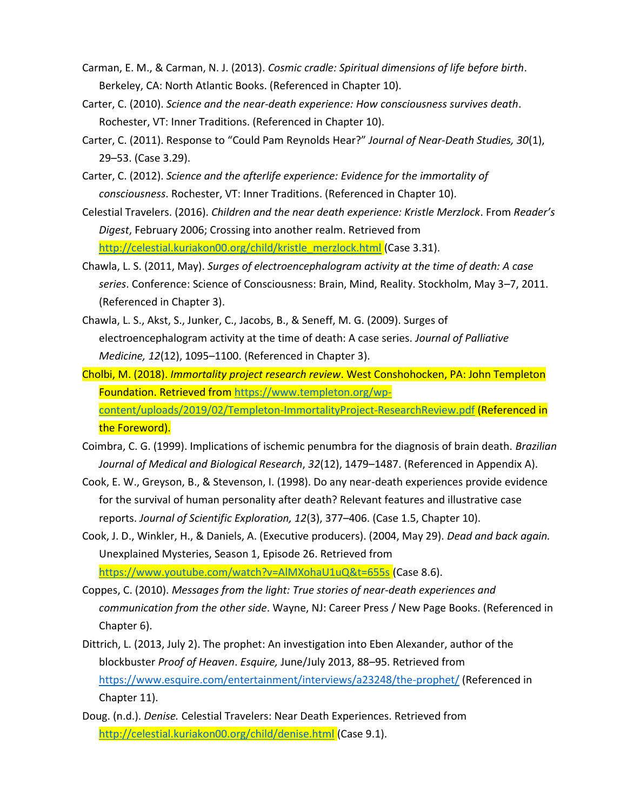- Carman, E. M., & Carman, N. J. (2013). *Cosmic cradle: Spiritual dimensions of life before birth*. Berkeley, CA: North Atlantic Books. (Referenced in Chapter 10).
- Carter, C. (2010). *Science and the near-death experience: How consciousness survives death*. Rochester, VT: Inner Traditions. (Referenced in Chapter 10).
- Carter, C. (2011). Response to "Could Pam Reynolds Hear?" *Journal of Near-Death Studies, 30*(1), 29–53. (Case 3.29).
- Carter, C. (2012). *Science and the afterlife experience: Evidence for the immortality of consciousness*. Rochester, VT: Inner Traditions. (Referenced in Chapter 10).
- Celestial Travelers. (2016). *Children and the near death experience: Kristle Merzlock*. From *Reader's Digest*, February 2006; Crossing into another realm. Retrieved from [http://celestial.kuriakon00.org/child/kristle\\_merzlock.html](http://celestial.kuriakon00.org/child/kristle_merzlock.html) (Case 3.31).
- Chawla, L. S. (2011, May). *Surges of electroencephalogram activity at the time of death: A case series*. Conference: Science of Consciousness: Brain, Mind, Reality. Stockholm, May 3–7, 2011. (Referenced in Chapter 3).
- Chawla, L. S., Akst, S., Junker, C., Jacobs, B., & Seneff, M. G. (2009). Surges of electroencephalogram activity at the time of death: A case series. *Journal of Palliative Medicine, 12*(12), 1095–1100. (Referenced in Chapter 3).
- Cholbi, M. (2018). *Immortality project research review*. West Conshohocken, PA: John Templeton Foundation. Retrieved from [https://www.templeton.org/wp](https://www.templeton.org/wp-content/uploads/2019/02/Templeton-ImmortalityProject-ResearchReview.pdf)[content/uploads/2019/02/Templeton-ImmortalityProject-ResearchReview.pdf](https://www.templeton.org/wp-content/uploads/2019/02/Templeton-ImmortalityProject-ResearchReview.pdf) (Referenced in the Foreword).
- Coimbra, C. G. (1999). Implications of ischemic penumbra for the diagnosis of brain death. *Brazilian Journal of Medical and Biological Research*, *32*(12), 1479–1487. (Referenced in Appendix A).
- Cook, E. W., Greyson, B., & Stevenson, I. (1998). Do any near-death experiences provide evidence for the survival of human personality after death? Relevant features and illustrative case reports. *Journal of Scientific Exploration, 12*(3), 377–406. (Case 1.5, Chapter 10).
- Cook, J. D., Winkler, H., & Daniels, A. (Executive producers). (2004, May 29). *Dead and back again.* Unexplained Mysteries, Season 1, Episode 26. Retrieved from <https://www.youtube.com/watch?v=AlMXohaU1uQ&t=655s> (Case 8.6).
- Coppes, C. (2010). *Messages from the light: True stories of near-death experiences and communication from the other side*. Wayne, NJ: Career Press / New Page Books. (Referenced in Chapter 6).
- Dittrich, L. (2013, July 2). The prophet: An investigation into Eben Alexander, author of the blockbuster *Proof of Heaven*. *Esquire,* June/July 2013, 88–95. Retrieved from <https://www.esquire.com/entertainment/interviews/a23248/the-prophet/> (Referenced in Chapter 11).
- Doug. (n.d.). *Denise.* Celestial Travelers: Near Death Experiences. Retrieved from <http://celestial.kuriakon00.org/child/denise.html> (Case 9.1).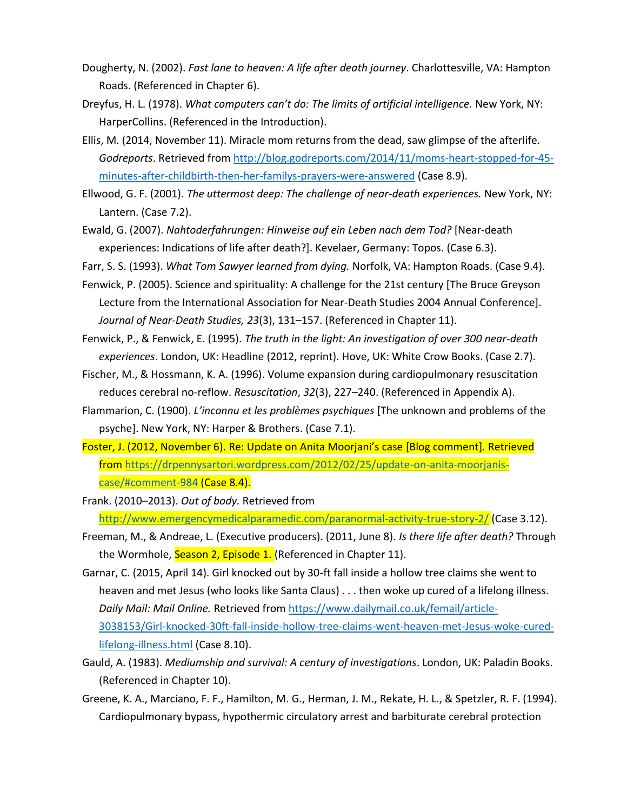- Dougherty, N. (2002). *Fast lane to heaven: A life after death journey*. Charlottesville, VA: Hampton Roads. (Referenced in Chapter 6).
- Dreyfus, H. L. (1978). *What computers can't do: The limits of artificial intelligence.* New York, NY: HarperCollins. (Referenced in the Introduction).
- Ellis, M. (2014, November 11). Miracle mom returns from the dead, saw glimpse of the afterlife. *Godreports*. Retrieved from [http://blog.godreports.com/2014/11/moms-heart-stopped-for-45](http://blog.godreports.com/2014/11/moms-heart-stopped-for-45-minutes-after-childbirth-then-her-familys-prayers-were-answered) [minutes-after-childbirth-then-her-familys-prayers-were-answered](http://blog.godreports.com/2014/11/moms-heart-stopped-for-45-minutes-after-childbirth-then-her-familys-prayers-were-answered) (Case 8.9).
- Ellwood, G. F. (2001). *The uttermost deep: The challenge of near-death experiences.* New York, NY: Lantern. (Case 7.2).
- Ewald, G. (2007). *Nahtoderfahrungen: Hinweise auf ein Leben nach dem Tod?* [Near-death experiences: Indications of life after death?]. Kevelaer, Germany: Topos. (Case 6.3).
- Farr, S. S. (1993). *What Tom Sawyer learned from dying.* Norfolk, VA: Hampton Roads. (Case 9.4).
- Fenwick, P. (2005). Science and spirituality: A challenge for the 21st century [The Bruce Greyson Lecture from the International Association for Near-Death Studies 2004 Annual Conference]. *Journal of Near-Death Studies, 23*(3), 131–157. (Referenced in Chapter 11).
- Fenwick, P., & Fenwick, E. (1995). *The truth in the light: An investigation of over 300 near-death experiences*. London, UK: Headline (2012, reprint). Hove, UK: White Crow Books. (Case 2.7).
- Fischer, M., & Hossmann, K. A. (1996). Volume expansion during cardiopulmonary resuscitation reduces cerebral no-reflow. *Resuscitation*, *32*(3), 227–240. (Referenced in Appendix A).
- Flammarion, C. (1900). *L'inconnu et les problèmes psychiques* [The unknown and problems of the psyche]. New York, NY: Harper & Brothers. (Case 7.1).
- Foster, J. (2012, November 6). Re: Update on Anita Moorjani's case [Blog comment]*.* Retrieved from [https://drpennysartori.wordpress.com/2012/02/25/update-on-anita-moorjanis](https://drpennysartori.wordpress.com/2012/02/25/update-on-anita-moorjanis-case/#comment-984)[case/#comment-984](https://drpennysartori.wordpress.com/2012/02/25/update-on-anita-moorjanis-case/#comment-984) (Case 8.4).
- Frank. (2010–2013). *Out of body.* Retrieved from <http://www.emergencymedicalparamedic.com/paranormal-activity-true-story-2/> (Case 3.12).
- Freeman, M., & Andreae, L. (Executive producers). (2011, June 8). *Is there life after death?* Through the Wormhole, Season 2, Episode 1. (Referenced in Chapter 11).
- Garnar, C. (2015, April 14). Girl knocked out by 30-ft fall inside a hollow tree claims she went to heaven and met Jesus (who looks like Santa Claus) . . . then woke up cured of a lifelong illness. *Daily Mail: Mail Online.* Retrieved from [https://www.dailymail.co.uk/femail/article-](https://www.dailymail.co.uk/femail/article-3038153/Girl-knocked-30ft-fall-inside-hollow-tree-claims-went-heaven-met-Jesus-woke-cured-lifelong-illness.html)[3038153/Girl-knocked-30ft-fall-inside-hollow-tree-claims-went-heaven-met-Jesus-woke-cured](https://www.dailymail.co.uk/femail/article-3038153/Girl-knocked-30ft-fall-inside-hollow-tree-claims-went-heaven-met-Jesus-woke-cured-lifelong-illness.html)[lifelong-illness.html](https://www.dailymail.co.uk/femail/article-3038153/Girl-knocked-30ft-fall-inside-hollow-tree-claims-went-heaven-met-Jesus-woke-cured-lifelong-illness.html) (Case 8.10).
- Gauld, A. (1983). *Mediumship and survival: A century of investigations*. London, UK: Paladin Books. (Referenced in Chapter 10).
- Greene, K. A., Marciano, F. F., Hamilton, M. G., Herman, J. M., Rekate, H. L., & Spetzler, R. F. (1994). Cardiopulmonary bypass, hypothermic circulatory arrest and barbiturate cerebral protection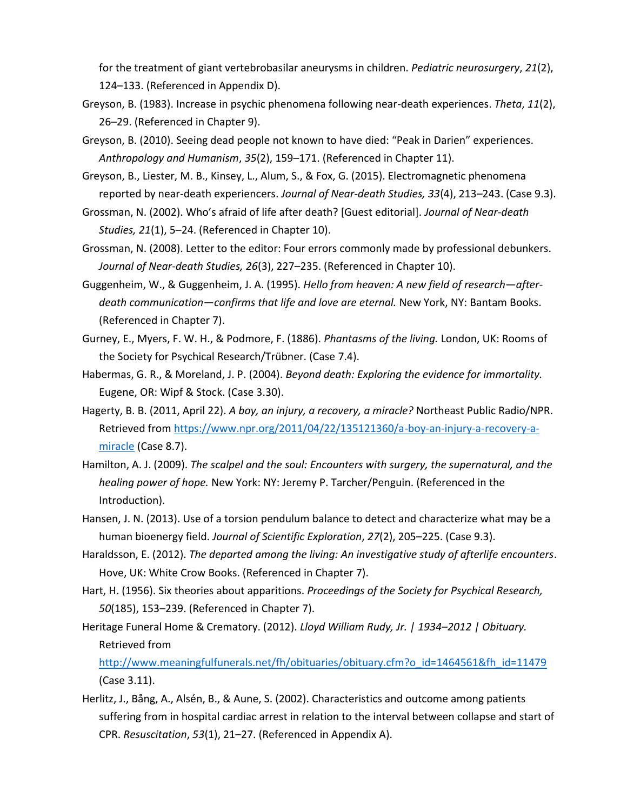for the treatment of giant vertebrobasilar aneurysms in children. *Pediatric neurosurgery*, *21*(2), 124–133. (Referenced in Appendix D).

- Greyson, B. (1983). Increase in psychic phenomena following near-death experiences. *Theta*, *11*(2), 26–29. (Referenced in Chapter 9).
- Greyson, B. (2010). Seeing dead people not known to have died: "Peak in Darien" experiences. *Anthropology and Humanism*, *35*(2), 159–171. (Referenced in Chapter 11).
- Greyson, B., Liester, M. B., Kinsey, L., Alum, S., & Fox, G. (2015). Electromagnetic phenomena reported by near-death experiencers. *Journal of Near-death Studies, 33*(4), 213–243. (Case 9.3).

Grossman, N. (2002). Who's afraid of life after death? [Guest editorial]. *Journal of Near-death Studies, 21*(1), 5–24. (Referenced in Chapter 10).

- Grossman, N. (2008). Letter to the editor: Four errors commonly made by professional debunkers. *Journal of Near-death Studies, 26*(3), 227–235. (Referenced in Chapter 10).
- Guggenheim, W., & Guggenheim, J. A. (1995). *Hello from heaven: A new field of research—afterdeath communication—confirms that life and love are eternal.* New York, NY: Bantam Books. (Referenced in Chapter 7).
- Gurney, E., Myers, F. W. H., & Podmore, F. (1886). *Phantasms of the living.* London, UK: Rooms of the Society for Psychical Research/Trübner. (Case 7.4).
- Habermas, G. R., & Moreland, J. P. (2004). *Beyond death: Exploring the evidence for immortality.* Eugene, OR: Wipf & Stock. (Case 3.30).
- Hagerty, B. B. (2011, April 22). *A boy, an injury, a recovery, a miracle?* Northeast Public Radio/NPR. Retrieved from [https://www.npr.org/2011/04/22/135121360/a-boy-an-injury-a-recovery-a](https://www.npr.org/2011/04/22/135121360/a-boy-an-injury-a-recovery-a-miracle)[miracle](https://www.npr.org/2011/04/22/135121360/a-boy-an-injury-a-recovery-a-miracle) (Case 8.7).
- Hamilton, A. J. (2009). *The scalpel and the soul: Encounters with surgery, the supernatural, and the healing power of hope.* New York: NY: Jeremy P. Tarcher/Penguin. (Referenced in the Introduction).
- Hansen, J. N. (2013). Use of a torsion pendulum balance to detect and characterize what may be a human bioenergy field. *Journal of Scientific Exploration*, *27*(2), 205–225. (Case 9.3).
- Haraldsson, E. (2012). *The departed among the living: An investigative study of afterlife encounters*. Hove, UK: White Crow Books. (Referenced in Chapter 7).
- Hart, H. (1956). Six theories about apparitions. *Proceedings of the Society for Psychical Research, 50*(185), 153–239. (Referenced in Chapter 7).
- Heritage Funeral Home & Crematory. (2012). *Lloyd William Rudy, Jr. | 1934–2012 | Obituary.* Retrieved from

[http://www.meaningfulfunerals.net/fh/obituaries/obituary.cfm?o\\_id=1464561&fh\\_id=11479](http://www.meaningfulfunerals.net/fh/obituaries/obituary.cfm?o_id=1464561&fh_id=11479) (Case 3.11).

Herlitz, J., Bång, A., Alsén, B., & Aune, S. (2002). Characteristics and outcome among patients suffering from in hospital cardiac arrest in relation to the interval between collapse and start of CPR. *Resuscitation*, *53*(1), 21–27. (Referenced in Appendix A).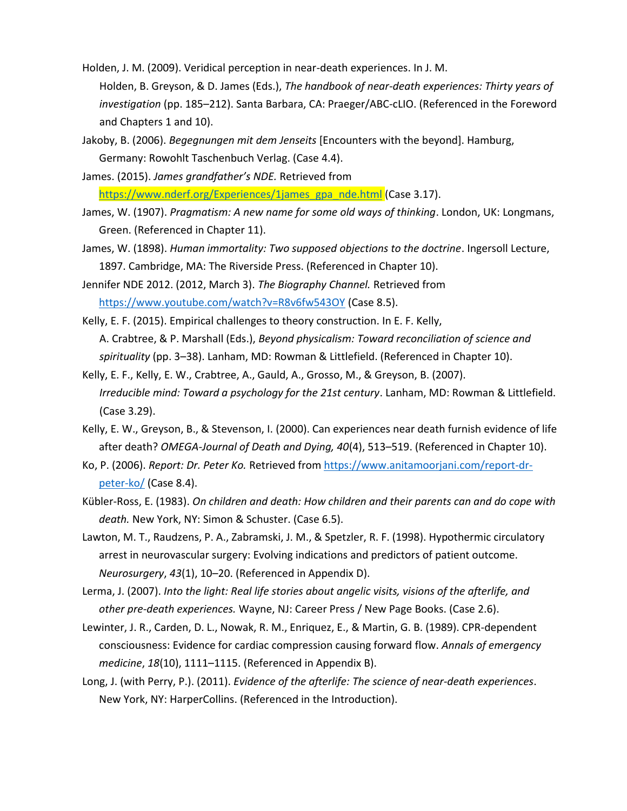- Holden, J. M. (2009). Veridical perception in near-death experiences. In J. M. Holden, B. Greyson, & D. James (Eds.), *The handbook of near-death experiences: Thirty years of investigation* (pp. 185–212). Santa Barbara, CA: Praeger/ABC-cLIO. (Referenced in the Foreword and Chapters 1 and 10).
- Jakoby, B. (2006). *Begegnungen mit dem Jenseits* [Encounters with the beyond]. Hamburg, Germany: Rowohlt Taschenbuch Verlag. (Case 4.4).
- James. (2015). *James grandfather's NDE.* Retrieved from [https://www.nderf.org/Experiences/1james\\_gpa\\_nde.html](https://www.nderf.org/Experiences/1james_gpa_nde.html) (Case 3.17).
- James, W. (1907). *Pragmatism: A new name for some old ways of thinking*. London, UK: Longmans, Green. (Referenced in Chapter 11).
- James, W. (1898). *Human immortality: Two supposed objections to the doctrine*. Ingersoll Lecture, 1897. Cambridge, MA: The Riverside Press. (Referenced in Chapter 10).
- Jennifer NDE 2012. (2012, March 3). *The Biography Channel.* Retrieved from <https://www.youtube.com/watch?v=R8v6fw543OY> (Case 8.5).
- Kelly, E. F. (2015). Empirical challenges to theory construction. In E. F. Kelly, A. Crabtree, & P. Marshall (Eds.), *Beyond physicalism: Toward reconciliation of science and spirituality* (pp. 3–38). Lanham, MD: Rowman & Littlefield. (Referenced in Chapter 10).
- Kelly, E. F., Kelly, E. W., Crabtree, A., Gauld, A., Grosso, M., & Greyson, B. (2007). *Irreducible mind: Toward a psychology for the 21st century*. Lanham, MD: Rowman & Littlefield. (Case 3.29).
- Kelly, E. W., Greyson, B., & Stevenson, I. (2000). Can experiences near death furnish evidence of life after death? *OMEGA-Journal of Death and Dying, 40*(4), 513–519. (Referenced in Chapter 10).
- Ko, P. (2006). *Report: Dr. Peter Ko.* Retrieved from [https://www.anitamoorjani.com/report-dr](https://www.anitamoorjani.com/report-dr-peter-ko/)[peter-ko/](https://www.anitamoorjani.com/report-dr-peter-ko/) (Case 8.4).
- Kübler-Ross, E. (1983). *On children and death: How children and their parents can and do cope with death.* New York, NY: Simon & Schuster. (Case 6.5).
- Lawton, M. T., Raudzens, P. A., Zabramski, J. M., & Spetzler, R. F. (1998). Hypothermic circulatory arrest in neurovascular surgery: Evolving indications and predictors of patient outcome. *Neurosurgery*, *43*(1), 10–20. (Referenced in Appendix D).
- Lerma, J. (2007). *Into the light: Real life stories about angelic visits, visions of the afterlife, and other pre-death experiences.* Wayne, NJ: Career Press / New Page Books. (Case 2.6).
- Lewinter, J. R., Carden, D. L., Nowak, R. M., Enriquez, E., & Martin, G. B. (1989). CPR-dependent consciousness: Evidence for cardiac compression causing forward flow. *Annals of emergency medicine*, *18*(10), 1111–1115. (Referenced in Appendix B).
- Long, J. (with Perry, P.). (2011). *Evidence of the afterlife: The science of near-death experiences*. New York, NY: HarperCollins. (Referenced in the Introduction).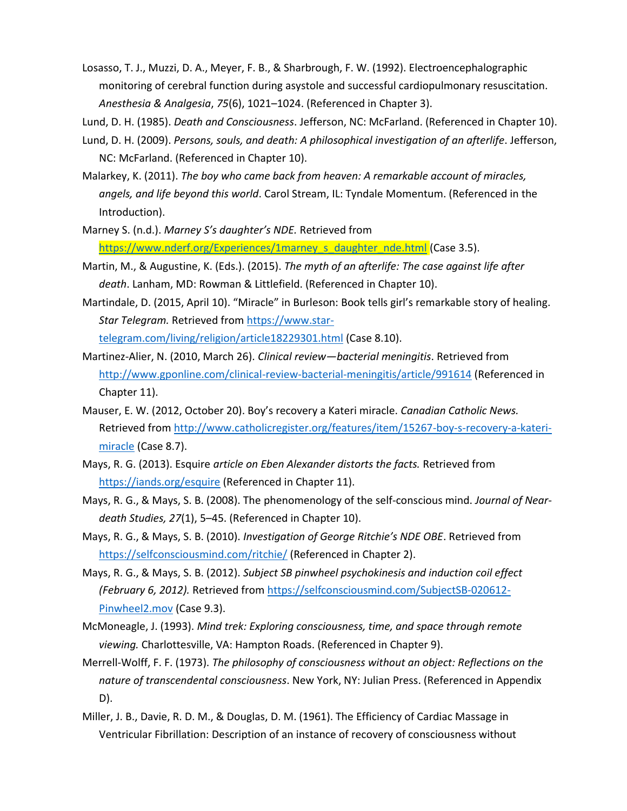Losasso, T. J., Muzzi, D. A., Meyer, F. B., & Sharbrough, F. W. (1992). Electroencephalographic monitoring of cerebral function during asystole and successful cardiopulmonary resuscitation. *Anesthesia & Analgesia*, *75*(6), 1021–1024. (Referenced in Chapter 3).

Lund, D. H. (1985). *Death and Consciousness*. Jefferson, NC: McFarland. (Referenced in Chapter 10).

- Lund, D. H. (2009). *Persons, souls, and death: A philosophical investigation of an afterlife*. Jefferson, NC: McFarland. (Referenced in Chapter 10).
- Malarkey, K. (2011). *The boy who came back from heaven: A remarkable account of miracles, angels, and life beyond this world*. Carol Stream, IL: Tyndale Momentum. (Referenced in the Introduction).
- Marney S. (n.d.). *Marney S's daughter's NDE.* Retrieved from [https://www.nderf.org/Experiences/1marney\\_s\\_daughter\\_nde.html](https://www.nderf.org/Experiences/1marney_s_daughter_nde.html) (Case 3.5).
- Martin, M., & Augustine, K. (Eds.). (2015). *The myth of an afterlife: The case against life after death*. Lanham, MD: Rowman & Littlefield. (Referenced in Chapter 10).
- Martindale, D. (2015, April 10). "Miracle" in Burleson: Book tells girl's remarkable story of healing. *Star Telegram.* Retrieved from [https://www.star](https://www.star-telegram.com/living/religion/article18229301.html)[telegram.com/living/religion/article18229301.html](https://www.star-telegram.com/living/religion/article18229301.html) (Case 8.10).
- Martinez-Alier, N. (2010, March 26). *Clinical review—bacterial meningitis*. Retrieved from <http://www.gponline.com/clinical-review-bacterial-meningitis/article/991614> (Referenced in Chapter 11).
- Mauser, E. W. (2012, October 20). Boy's recovery a Kateri miracle. *Canadian Catholic News.* Retrieved from [http://www.catholicregister.org/features/item/15267-boy-s-recovery-a-kateri](http://www.catholicregister.org/features/item/15267-boy-s-recovery-a-kateri-miracle)[miracle](http://www.catholicregister.org/features/item/15267-boy-s-recovery-a-kateri-miracle) (Case 8.7).
- Mays, R. G. (2013). Esquire *article on Eben Alexander distorts the facts.* Retrieved from <https://iands.org/esquire> (Referenced in Chapter 11).
- Mays, R. G., & Mays, S. B. (2008). The phenomenology of the self-conscious mind. *Journal of Neardeath Studies, 27*(1), 5–45. (Referenced in Chapter 10).
- Mays, R. G., & Mays, S. B. (2010). *Investigation of George Ritchie's NDE OBE*. Retrieved from <https://selfconsciousmind.com/ritchie/> (Referenced in Chapter 2).
- Mays, R. G., & Mays, S. B. (2012). *Subject SB pinwheel psychokinesis and induction coil effect (February 6, 2012).* Retrieved from [https://selfconsciousmind.com/SubjectSB-020612-](https://selfconsciousmind.com/SubjectSB-020612-Pinwheel2.mov) [Pinwheel2.mov](https://selfconsciousmind.com/SubjectSB-020612-Pinwheel2.mov) (Case 9.3).
- McMoneagle, J. (1993). *Mind trek: Exploring consciousness, time, and space through remote viewing.* Charlottesville, VA: Hampton Roads. (Referenced in Chapter 9).
- Merrell-Wolff, F. F. (1973). *The philosophy of consciousness without an object: Reflections on the nature of transcendental consciousness*. New York, NY: Julian Press. (Referenced in Appendix D).
- Miller, J. B., Davie, R. D. M., & Douglas, D. M. (1961). The Efficiency of Cardiac Massage in Ventricular Fibrillation: Description of an instance of recovery of consciousness without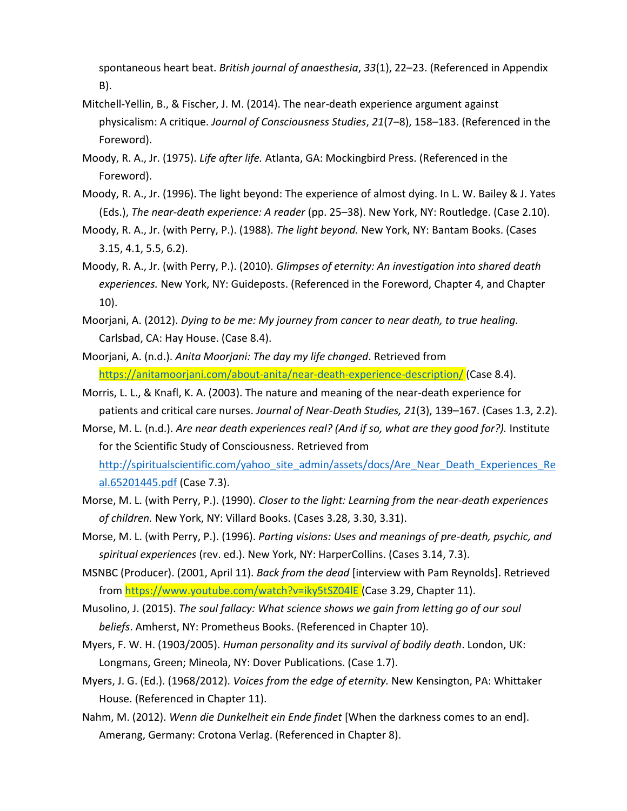spontaneous heart beat. *British journal of anaesthesia*, *33*(1), 22–23. (Referenced in Appendix B).

- Mitchell-Yellin, B., & Fischer, J. M. (2014). The near-death experience argument against physicalism: A critique. *Journal of Consciousness Studies*, *21*(7–8), 158–183. (Referenced in the Foreword).
- Moody, R. A., Jr. (1975). *Life after life.* Atlanta, GA: Mockingbird Press. (Referenced in the Foreword).
- Moody, R. A., Jr. (1996). The light beyond: The experience of almost dying. In L. W. Bailey & J. Yates (Eds.), *The near-death experience: A reader* (pp. 25–38). New York, NY: Routledge. (Case 2.10).
- Moody, R. A., Jr. (with Perry, P.). (1988). *The light beyond.* New York, NY: Bantam Books. (Cases 3.15, 4.1, 5.5, 6.2).
- Moody, R. A., Jr. (with Perry, P.). (2010). *Glimpses of eternity: An investigation into shared death experiences.* New York, NY: Guideposts. (Referenced in the Foreword, Chapter 4, and Chapter 10).
- Moorjani, A. (2012). *Dying to be me: My journey from cancer to near death, to true healing.* Carlsbad, CA: Hay House. (Case 8.4).
- Moorjani, A. (n.d.). *Anita Moorjani: The day my life changed*. Retrieved from <https://anitamoorjani.com/about-anita/near-death-experience-description/> (Case 8.4).
- Morris, L. L., & Knafl, K. A. (2003). The nature and meaning of the near-death experience for patients and critical care nurses. *Journal of Near-Death Studies, 21*(3), 139–167. (Cases 1.3, 2.2).
- Morse, M. L. (n.d.). *Are near death experiences real? (And if so, what are they good for?).* Institute for the Scientific Study of Consciousness. Retrieved from [http://spiritualscientific.com/yahoo\\_site\\_admin/assets/docs/Are\\_Near\\_Death\\_Experiences\\_Re](http://spiritualscientific.com/yahoo_site_admin/assets/docs/Are_Near_Death_Experiences_Real.65201445.pdf) [al.65201445.pdf](http://spiritualscientific.com/yahoo_site_admin/assets/docs/Are_Near_Death_Experiences_Real.65201445.pdf) (Case 7.3).
- Morse, M. L. (with Perry, P.). (1990). *Closer to the light: Learning from the near-death experiences of children.* New York, NY: Villard Books. (Cases 3.28, 3.30, 3.31).
- Morse, M. L. (with Perry, P.). (1996). *Parting visions: Uses and meanings of pre-death, psychic, and spiritual experiences* (rev. ed.). New York, NY: HarperCollins. (Cases 3.14, 7.3).
- MSNBC (Producer). (2001, April 11). *Back from the dead* [interview with Pam Reynolds]. Retrieved from<https://www.youtube.com/watch?v=iky5tSZ04lE> (Case 3.29, Chapter 11).
- Musolino, J. (2015). *The soul fallacy: What science shows we gain from letting go of our soul beliefs*. Amherst, NY: Prometheus Books. (Referenced in Chapter 10).
- Myers, F. W. H. (1903/2005). *Human personality and its survival of bodily death*. London, UK: Longmans, Green; Mineola, NY: Dover Publications. (Case 1.7).
- Myers, J. G. (Ed.). (1968/2012). *Voices from the edge of eternity.* New Kensington, PA: Whittaker House. (Referenced in Chapter 11).
- Nahm, M. (2012). *Wenn die Dunkelheit ein Ende findet* [When the darkness comes to an end]. Amerang, Germany: Crotona Verlag. (Referenced in Chapter 8).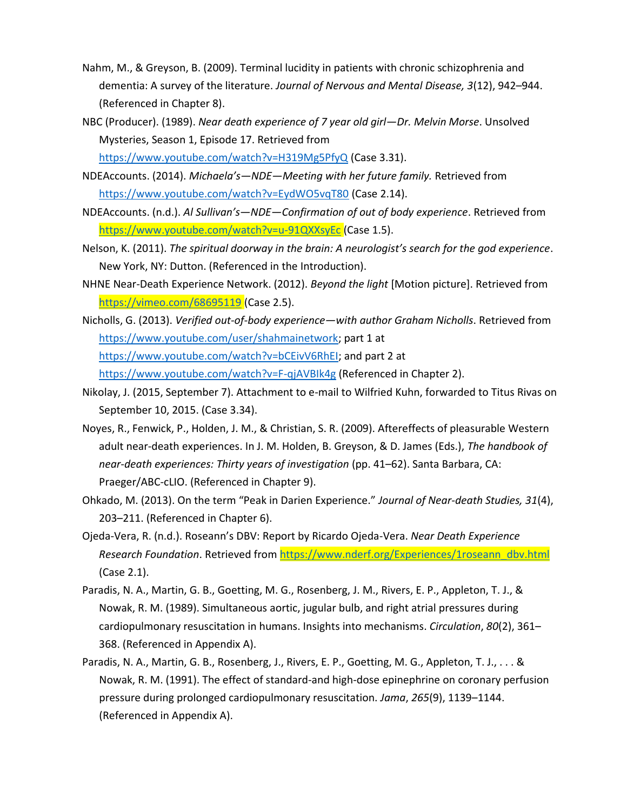- Nahm, M., & Greyson, B. (2009). Terminal lucidity in patients with chronic schizophrenia and dementia: A survey of the literature. *Journal of Nervous and Mental Disease, 3*(12), 942–944. (Referenced in Chapter 8).
- NBC (Producer). (1989). *Near death experience of 7 year old girl—Dr. Melvin Morse*. Unsolved Mysteries, Season 1, Episode 17. Retrieved from <https://www.youtube.com/watch?v=H319Mg5PfyQ> (Case 3.31).
- NDEAccounts. (2014). *Michaela's—NDE—Meeting with her future family.* Retrieved from <https://www.youtube.com/watch?v=EydWO5vqT80> (Case 2.14).
- NDEAccounts. (n.d.). *Al Sullivan's—NDE—Confirmation of out of body experience*. Retrieved from <https://www.youtube.com/watch?v=u-91QXXsyEc> (Case 1.5).
- Nelson, K. (2011). *The spiritual doorway in the brain: A neurologist's search for the god experience*. New York, NY: Dutton. (Referenced in the Introduction).
- NHNE Near-Death Experience Network. (2012). *Beyond the light* [Motion picture]. Retrieved from <https://vimeo.com/68695119> (Case 2.5).
- Nicholls, G. (2013). *Verified out-of-body experience—with author Graham Nicholls*. Retrieved from [https://www.youtube.com/user/shahmainetwork;](https://www.youtube.com/user/shahmainetwork) part 1 at [https://www.youtube.com/watch?v=bCEivV6RhEI;](https://www.youtube.com/watch?v=bCEivV6RhEI) and part 2 at <https://www.youtube.com/watch?v=F-qjAVBIk4g> (Referenced in Chapter 2).
- Nikolay, J. (2015, September 7). Attachment to e-mail to Wilfried Kuhn, forwarded to Titus Rivas on September 10, 2015. (Case 3.34).
- Noyes, R., Fenwick, P., Holden, J. M., & Christian, S. R. (2009). Aftereffects of pleasurable Western adult near-death experiences. In J. M. Holden, B. Greyson, & D. James (Eds.), *The handbook of near-death experiences: Thirty years of investigation* (pp. 41–62). Santa Barbara, CA: Praeger/ABC-cLIO. (Referenced in Chapter 9).
- Ohkado, M. (2013). On the term "Peak in Darien Experience." *Journal of Near-death Studies, 31*(4), 203–211. (Referenced in Chapter 6).
- Ojeda-Vera, R. (n.d.). Roseann's DBV: Report by Ricardo Ojeda-Vera. *Near Death Experience Research Foundation*. Retrieved from [https://www.nderf.org/Experiences/1roseann\\_dbv.html](https://www.nderf.org/Experiences/1roseann_dbv.html) (Case 2.1).
- Paradis, N. A., Martin, G. B., Goetting, M. G., Rosenberg, J. M., Rivers, E. P., Appleton, T. J., & Nowak, R. M. (1989). Simultaneous aortic, jugular bulb, and right atrial pressures during cardiopulmonary resuscitation in humans. Insights into mechanisms. *Circulation*, *80*(2), 361– 368. (Referenced in Appendix A).
- Paradis, N. A., Martin, G. B., Rosenberg, J., Rivers, E. P., Goetting, M. G., Appleton, T. J., . . . & Nowak, R. M. (1991). The effect of standard-and high-dose epinephrine on coronary perfusion pressure during prolonged cardiopulmonary resuscitation. *Jama*, *265*(9), 1139–1144. (Referenced in Appendix A).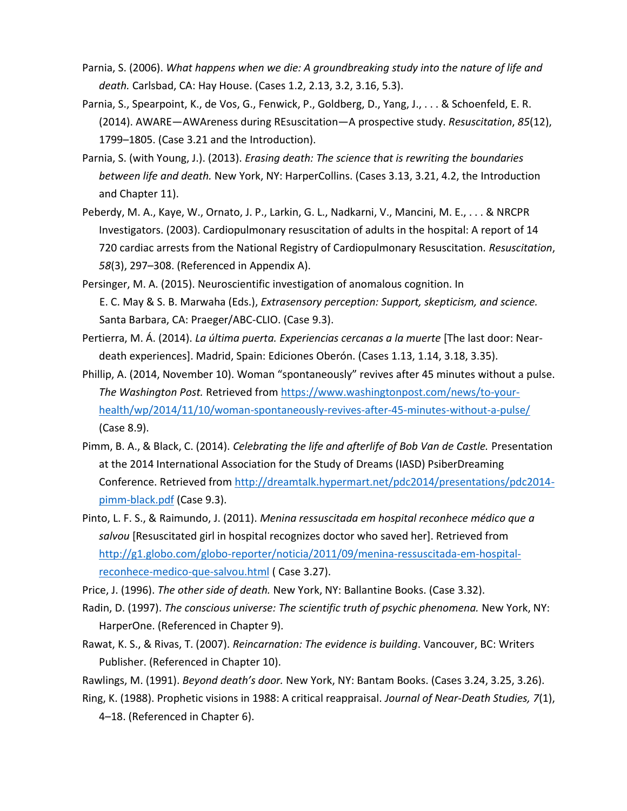- Parnia, S. (2006). *What happens when we die: A groundbreaking study into the nature of life and death.* Carlsbad, CA: Hay House. (Cases 1.2, 2.13, 3.2, 3.16, 5.3).
- Parnia, S., Spearpoint, K., de Vos, G., Fenwick, P., Goldberg, D., Yang, J., . . . & Schoenfeld, E. R. (2014). AWARE—AWAreness during REsuscitation—A prospective study. *Resuscitation*, *85*(12), 1799–1805. (Case 3.21 and the Introduction).
- Parnia, S. (with Young, J.). (2013). *Erasing death: The science that is rewriting the boundaries between life and death.* New York, NY: HarperCollins. (Cases 3.13, 3.21, 4.2, the Introduction and Chapter 11).
- Peberdy, M. A., Kaye, W., Ornato, J. P., Larkin, G. L., Nadkarni, V., Mancini, M. E., . . . & NRCPR Investigators. (2003). Cardiopulmonary resuscitation of adults in the hospital: A report of 14 720 cardiac arrests from the National Registry of Cardiopulmonary Resuscitation. *Resuscitation*, *58*(3), 297–308. (Referenced in Appendix A).
- Persinger, M. A. (2015). Neuroscientific investigation of anomalous cognition. In E. C. May & S. B. Marwaha (Eds.), *Extrasensory perception: Support, skepticism, and science.* Santa Barbara, CA: Praeger/ABC-CLIO. (Case 9.3).
- Pertierra, M. Á. (2014). *La última puerta. Experiencias cercanas a la muerte* [The last door: Neardeath experiences]. Madrid, Spain: Ediciones Oberón. (Cases 1.13, 1.14, 3.18, 3.35).
- Phillip, A. (2014, November 10). Woman "spontaneously" revives after 45 minutes without a pulse. *The Washington Post.* Retrieved from [https://www.washingtonpost.com/news/to-your](https://www.washingtonpost.com/news/to-your-health/wp/2014/11/10/woman-spontaneously-revives-after-45-minutes-without-a-pulse/)[health/wp/2014/11/10/woman-spontaneously-revives-after-45-minutes-without-a-pulse/](https://www.washingtonpost.com/news/to-your-health/wp/2014/11/10/woman-spontaneously-revives-after-45-minutes-without-a-pulse/) (Case 8.9).
- Pimm, B. A., & Black, C. (2014). *Celebrating the life and afterlife of Bob Van de Castle.* Presentation at the 2014 International Association for the Study of Dreams (IASD) PsiberDreaming Conference. Retrieved from [http://dreamtalk.hypermart.net/pdc2014/presentations/pdc2014](http://dreamtalk.hypermart.net/pdc2014/presentations/pdc2014-pimm-black.pdf) [pimm-black.pdf](http://dreamtalk.hypermart.net/pdc2014/presentations/pdc2014-pimm-black.pdf) (Case 9.3).
- Pinto, L. F. S., & Raimundo, J. (2011). *Menina ressuscitada em hospital reconhece médico que a salvou* [Resuscitated girl in hospital recognizes doctor who saved her]. Retrieved from [http://g1.globo.com/globo-reporter/noticia/2011/09/menina-ressuscitada-em-hospital](http://g1.globo.com/globo-reporter/noticia/2011/09/menina-ressuscitada-em-hospital-reconhece-medico-que-salvou.html)[reconhece-medico-que-salvou.html](http://g1.globo.com/globo-reporter/noticia/2011/09/menina-ressuscitada-em-hospital-reconhece-medico-que-salvou.html) ( Case 3.27).
- Price, J. (1996). *The other side of death.* New York, NY: Ballantine Books. (Case 3.32).
- Radin, D. (1997). *The conscious universe: The scientific truth of psychic phenomena.* New York, NY: HarperOne. (Referenced in Chapter 9).
- Rawat, K. S., & Rivas, T. (2007). *Reincarnation: The evidence is building*. Vancouver, BC: Writers Publisher. (Referenced in Chapter 10).
- Rawlings, M. (1991). *Beyond death's door.* New York, NY: Bantam Books. (Cases 3.24, 3.25, 3.26).
- Ring, K. (1988). Prophetic visions in 1988: A critical reappraisal. *Journal of Near-Death Studies, 7*(1), 4–18. (Referenced in Chapter 6).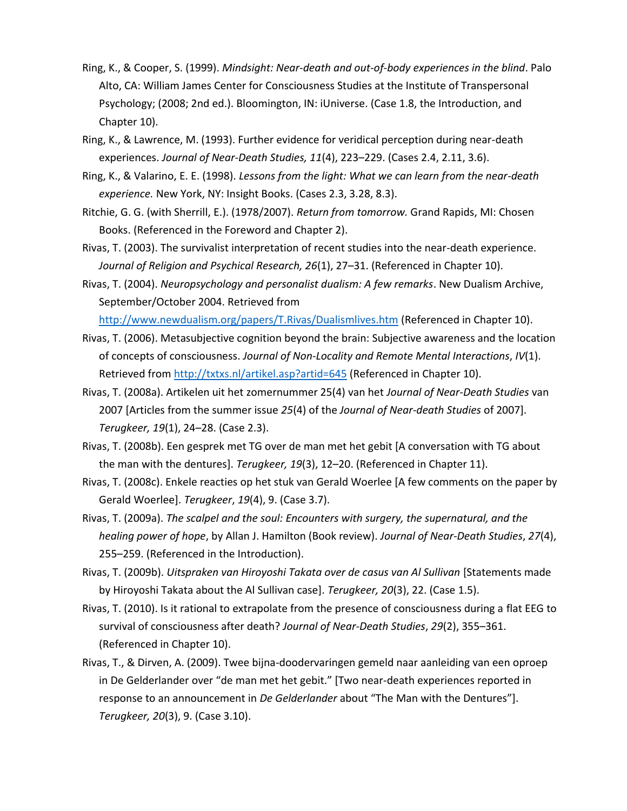- Ring, K., & Cooper, S. (1999). *Mindsight: Near-death and out-of-body experiences in the blind*. Palo Alto, CA: William James Center for Consciousness Studies at the Institute of Transpersonal Psychology; (2008; 2nd ed.). Bloomington, IN: iUniverse. (Case 1.8, the Introduction, and Chapter 10).
- Ring, K., & Lawrence, M. (1993). Further evidence for veridical perception during near-death experiences. *Journal of Near-Death Studies, 11*(4), 223–229. (Cases 2.4, 2.11, 3.6).
- Ring, K., & Valarino, E. E. (1998). *Lessons from the light: What we can learn from the near-death experience.* New York, NY: Insight Books. (Cases 2.3, 3.28, 8.3).
- Ritchie, G. G. (with Sherrill, E.). (1978/2007). *Return from tomorrow.* Grand Rapids, MI: Chosen Books. (Referenced in the Foreword and Chapter 2).
- Rivas, T. (2003). The survivalist interpretation of recent studies into the near-death experience. *Journal of Religion and Psychical Research, 26*(1), 27–31. (Referenced in Chapter 10).
- Rivas, T. (2004). *Neuropsychology and personalist dualism: A few remarks*. New Dualism Archive, September/October 2004. Retrieved from

<http://www.newdualism.org/papers/T.Rivas/Dualismlives.htm> (Referenced in Chapter 10).

- Rivas, T. (2006). Metasubjective cognition beyond the brain: Subjective awareness and the location of concepts of consciousness. *Journal of Non-Locality and Remote Mental Interactions*, *IV*(1). Retrieved from<http://txtxs.nl/artikel.asp?artid=645> (Referenced in Chapter 10).
- Rivas, T. (2008a). Artikelen uit het zomernummer 25(4) van het *Journal of Near-Death Studies* van 2007 [Articles from the summer issue *25*(4) of the *Journal of Near-death Studies* of 2007]. *Terugkeer, 19*(1), 24–28. (Case 2.3).
- Rivas, T. (2008b). Een gesprek met TG over de man met het gebit [A conversation with TG about the man with the dentures]. *Terugkeer, 19*(3), 12–20. (Referenced in Chapter 11).
- Rivas, T. (2008c). Enkele reacties op het stuk van Gerald Woerlee [A few comments on the paper by Gerald Woerlee]. *Terugkeer*, *19*(4), 9. (Case 3.7).
- Rivas, T. (2009a). *The scalpel and the soul: Encounters with surgery, the supernatural, and the healing power of hope*, by Allan J. Hamilton (Book review). *Journal of Near-Death Studies*, *27*(4), 255–259. (Referenced in the Introduction).
- Rivas, T. (2009b). *Uitspraken van Hiroyoshi Takata over de casus van Al Sullivan* [Statements made by Hiroyoshi Takata about the Al Sullivan case]. *Terugkeer, 20*(3), 22. (Case 1.5).
- Rivas, T. (2010). Is it rational to extrapolate from the presence of consciousness during a flat EEG to survival of consciousness after death? *Journal of Near-Death Studies*, *29*(2), 355–361. (Referenced in Chapter 10).
- Rivas, T., & Dirven, A. (2009). Twee bijna-doodervaringen gemeld naar aanleiding van een oproep in De Gelderlander over "de man met het gebit." [Two near-death experiences reported in response to an announcement in *De Gelderlander* about "The Man with the Dentures"]. *Terugkeer, 20*(3), 9. (Case 3.10).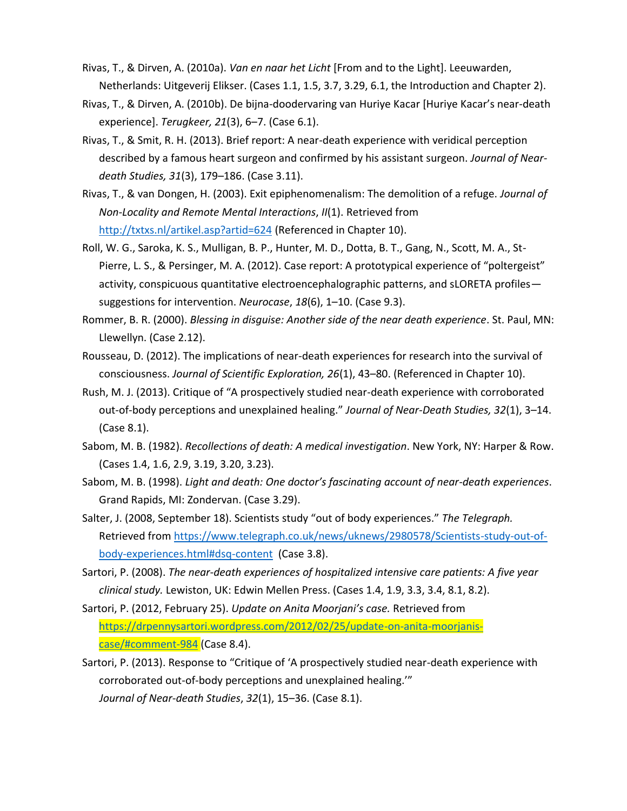- Rivas, T., & Dirven, A. (2010a). *Van en naar het Licht* [From and to the Light]. Leeuwarden, Netherlands: Uitgeverij Elikser. (Cases 1.1, 1.5, 3.7, 3.29, 6.1, the Introduction and Chapter 2).
- Rivas, T., & Dirven, A. (2010b). De bijna-doodervaring van Huriye Kacar [Huriye Kacar's near-death experience]. *Terugkeer, 21*(3), 6–7. (Case 6.1).
- Rivas, T., & Smit, R. H. (2013). Brief report: A near-death experience with veridical perception described by a famous heart surgeon and confirmed by his assistant surgeon. *Journal of Neardeath Studies, 31*(3), 179–186. (Case 3.11).
- Rivas, T., & van Dongen, H. (2003). Exit epiphenomenalism: The demolition of a refuge. *Journal of Non-Locality and Remote Mental Interactions*, *II*(1). Retrieved from <http://txtxs.nl/artikel.asp?artid=624> (Referenced in Chapter 10).
- Roll, W. G., Saroka, K. S., Mulligan, B. P., Hunter, M. D., Dotta, B. T., Gang, N., Scott, M. A., St-Pierre, L. S., & Persinger, M. A. (2012). Case report: A prototypical experience of "poltergeist" activity, conspicuous quantitative electroencephalographic patterns, and sLORETA profiles suggestions for intervention. *Neurocase*, *18*(6), 1–10. (Case 9.3).
- Rommer, B. R. (2000). *Blessing in disguise: Another side of the near death experience*. St. Paul, MN: Llewellyn. (Case 2.12).
- Rousseau, D. (2012). The implications of near-death experiences for research into the survival of consciousness. *Journal of Scientific Exploration, 26*(1), 43–80. (Referenced in Chapter 10).
- Rush, M. J. (2013). Critique of "A prospectively studied near-death experience with corroborated out-of-body perceptions and unexplained healing." *Journal of Near-Death Studies, 32*(1), 3–14. (Case 8.1).
- Sabom, M. B. (1982). *Recollections of death: A medical investigation*. New York, NY: Harper & Row. (Cases 1.4, 1.6, 2.9, 3.19, 3.20, 3.23).
- Sabom, M. B. (1998). *Light and death: One doctor's fascinating account of near-death experiences*. Grand Rapids, MI: Zondervan. (Case 3.29).
- Salter, J. (2008, September 18). Scientists study "out of body experiences." *The Telegraph.* Retrieved from [https://www.telegraph.co.uk/news/uknews/2980578/Scientists-study-out-of](https://www.telegraph.co.uk/news/uknews/2980578/Scientists-study-out-of-body-experiences.html#dsq-content)[body-experiences.html#dsq-content](https://www.telegraph.co.uk/news/uknews/2980578/Scientists-study-out-of-body-experiences.html#dsq-content) (Case 3.8).
- Sartori, P. (2008). *The near-death experiences of hospitalized intensive care patients: A five year clinical study.* Lewiston, UK: Edwin Mellen Press. (Cases 1.4, 1.9, 3.3, 3.4, 8.1, 8.2).
- Sartori, P. (2012, February 25). *Update on Anita Moorjani's case.* Retrieved from [https://drpennysartori.wordpress.com/2012/02/25/update-on-anita-moorjanis](https://drpennysartori.wordpress.com/2012/02/25/update-on-anita-moorjanis-case/#comment-984)[case/#comment-984](https://drpennysartori.wordpress.com/2012/02/25/update-on-anita-moorjanis-case/#comment-984) (Case 8.4).
- Sartori, P. (2013). Response to "Critique of 'A prospectively studied near-death experience with corroborated out-of-body perceptions and unexplained healing.'" *Journal of Near-death Studies*, *32*(1), 15–36. (Case 8.1).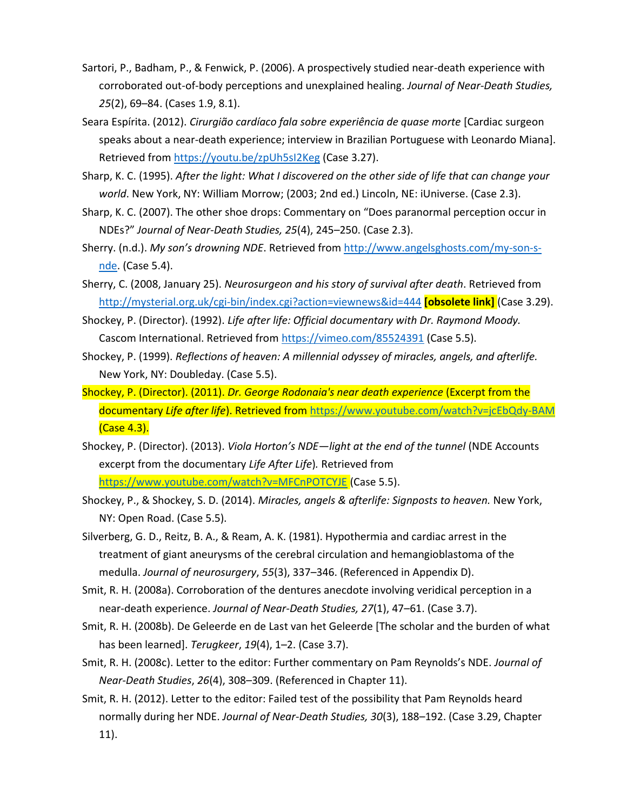- Sartori, P., Badham, P., & Fenwick, P. (2006). A prospectively studied near-death experience with corroborated out-of-body perceptions and unexplained healing. *Journal of Near-Death Studies, 25*(2), 69–84. (Cases 1.9, 8.1).
- Seara Espírita. (2012). *Cirurgião cardíaco fala sobre experiência de quase morte* [Cardiac surgeon speaks about a near-death experience; interview in Brazilian Portuguese with Leonardo Miana]. Retrieved from<https://youtu.be/zpUh5sI2Keg> (Case 3.27).
- Sharp, K. C. (1995). *After the light: What I discovered on the other side of life that can change your world*. New York, NY: William Morrow; (2003; 2nd ed.) Lincoln, NE: iUniverse. (Case 2.3).
- Sharp, K. C. (2007). The other shoe drops: Commentary on "Does paranormal perception occur in NDEs?" *Journal of Near-Death Studies, 25*(4), 245–250. (Case 2.3).
- Sherry. (n.d.). *My son's drowning NDE*. Retrieved from [http://www.angelsghosts.com/my-son-s](http://www.angelsghosts.com/my-son-s-nde)[nde.](http://www.angelsghosts.com/my-son-s-nde) (Case 5.4).
- Sherry, C. (2008, January 25). *Neurosurgeon and his story of survival after death*. Retrieved from <http://mysterial.org.uk/cgi-bin/index.cgi?action=viewnews&id=444> **[obsolete link]** (Case 3.29).
- Shockey, P. (Director). (1992). *Life after life: Official documentary with Dr. Raymond Moody.* Cascom International. Retrieved from<https://vimeo.com/85524391> (Case 5.5).
- Shockey, P. (1999). *Reflections of heaven: A millennial odyssey of miracles, angels, and afterlife.* New York, NY: Doubleday. (Case 5.5).
- Shockey, P. (Director). (2011). *Dr. George Rodonaia's near death experience* (Excerpt from the documentary *Life after life*). Retrieved from <https://www.youtube.com/watch?v=jcEbQdy-BAM> (Case 4.3).
- Shockey, P. (Director). (2013). *Viola Horton's NDE—light at the end of the tunnel* (NDE Accounts excerpt from the documentary *Life After Life*)*.* Retrieved from <https://www.youtube.com/watch?v=MFCnPOTCYJE> (Case 5.5).
- Shockey, P., & Shockey, S. D. (2014). *Miracles, angels & afterlife: Signposts to heaven.* New York, NY: Open Road. (Case 5.5).
- Silverberg, G. D., Reitz, B. A., & Ream, A. K. (1981). Hypothermia and cardiac arrest in the treatment of giant aneurysms of the cerebral circulation and hemangioblastoma of the medulla. *Journal of neurosurgery*, *55*(3), 337–346. (Referenced in Appendix D).
- Smit, R. H. (2008a). Corroboration of the dentures anecdote involving veridical perception in a near-death experience. *Journal of Near-Death Studies, 27*(1), 47–61. (Case 3.7).
- Smit, R. H. (2008b). De Geleerde en de Last van het Geleerde [The scholar and the burden of what has been learned]. *Terugkeer*, *19*(4), 1–2. (Case 3.7).
- Smit, R. H. (2008c). Letter to the editor: Further commentary on Pam Reynolds's NDE. *Journal of Near-Death Studies*, *26*(4), 308–309. (Referenced in Chapter 11).
- Smit, R. H. (2012). Letter to the editor: Failed test of the possibility that Pam Reynolds heard normally during her NDE. *Journal of Near-Death Studies, 30*(3), 188–192. (Case 3.29, Chapter 11).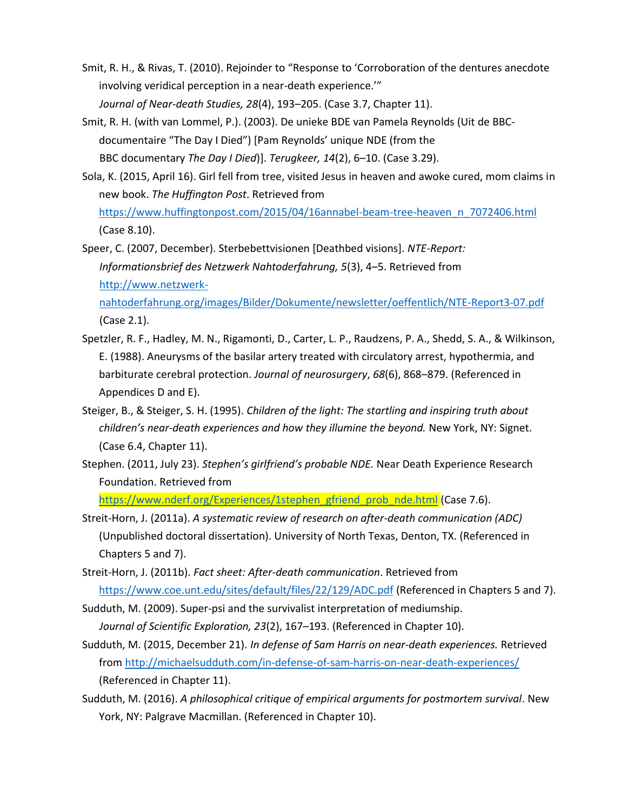- Smit, R. H., & Rivas, T. (2010). Rejoinder to "Response to 'Corroboration of the dentures anecdote involving veridical perception in a near-death experience.'" *Journal of Near-death Studies, 28*(4), 193–205. (Case 3.7, Chapter 11).
- Smit, R. H. (with van Lommel, P.). (2003). De unieke BDE van Pamela Reynolds (Uit de BBCdocumentaire "The Day I Died") [Pam Reynolds' unique NDE (from the BBC documentary *The Day I Died*)]. *Terugkeer, 14*(2), 6–10. (Case 3.29).
- Sola, K. (2015, April 16). Girl fell from tree, visited Jesus in heaven and awoke cured, mom claims in new book. *The Huffington Post*. Retrieved from [https://www.huffingtonpost.com/2015/04/16annabel-beam-tree-heaven\\_n\\_7072406.html](https://www.huffingtonpost.com/2015/04/16annabel-beam-tree-heaven_n_7072406.html)

(Case 8.10).

Speer, C. (2007, December). Sterbebettvisionen [Deathbed visions]. *NTE-Report: Informationsbrief des Netzwerk Nahtoderfahrung, 5*(3), 4–5. Retrieved from [http://www.netzwerk-](http://www.netzwerk-nahtoderfahrung.org/images/Bilder/Dokumente/newsletter/oeffentlich/NTE-Report3-07.pdf)

[nahtoderfahrung.org/images/Bilder/Dokumente/newsletter/oeffentlich/NTE-Report3-07.pdf](http://www.netzwerk-nahtoderfahrung.org/images/Bilder/Dokumente/newsletter/oeffentlich/NTE-Report3-07.pdf) (Case 2.1).

- Spetzler, R. F., Hadley, M. N., Rigamonti, D., Carter, L. P., Raudzens, P. A., Shedd, S. A., & Wilkinson, E. (1988). Aneurysms of the basilar artery treated with circulatory arrest, hypothermia, and barbiturate cerebral protection. *Journal of neurosurgery*, *68*(6), 868–879. (Referenced in Appendices D and E).
- Steiger, B., & Steiger, S. H. (1995). *Children of the light: The startling and inspiring truth about children's near-death experiences and how they illumine the beyond.* New York, NY: Signet. (Case 6.4, Chapter 11).
- Stephen. (2011, July 23). *Stephen's girlfriend's probable NDE.* Near Death Experience Research Foundation. Retrieved from

[https://www.nderf.org/Experiences/1stephen\\_gfriend\\_prob\\_nde.html](https://www.nderf.org/Experiences/1stephen_gfriend_prob_nde.html) (Case 7.6).

- Streit-Horn, J. (2011a). *A systematic review of research on after-death communication (ADC)* (Unpublished doctoral dissertation). University of North Texas, Denton, TX. (Referenced in Chapters 5 and 7).
- Streit-Horn, J. (2011b). *Fact sheet: After-death communication*. Retrieved from <https://www.coe.unt.edu/sites/default/files/22/129/ADC.pdf> (Referenced in Chapters 5 and 7).
- Sudduth, M. (2009). Super-psi and the survivalist interpretation of mediumship. *Journal of Scientific Exploration, 23*(2), 167–193. (Referenced in Chapter 10).
- Sudduth, M. (2015, December 21). *In defense of Sam Harris on near-death experiences.* Retrieved from<http://michaelsudduth.com/in-defense-of-sam-harris-on-near-death-experiences/> (Referenced in Chapter 11).
- Sudduth, M. (2016). *A philosophical critique of empirical arguments for postmortem survival*. New York, NY: Palgrave Macmillan. (Referenced in Chapter 10).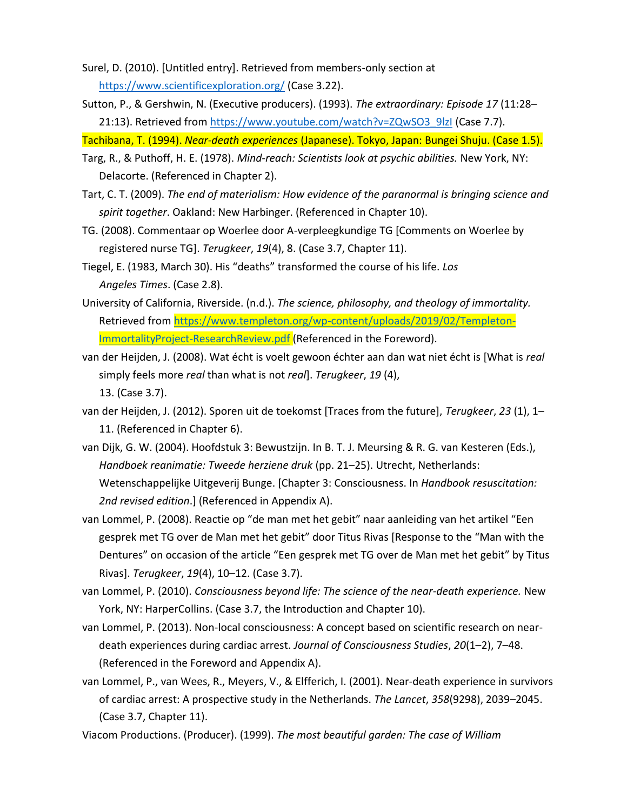- Surel, D. (2010). [Untitled entry]. Retrieved from members-only section at <https://www.scientificexploration.org/> (Case 3.22).
- Sutton, P., & Gershwin, N. (Executive producers). (1993). *The extraordinary: Episode 17* (11:28– 21:13). Retrieved from [https://www.youtube.com/watch?v=ZQwSO3\\_9lzI](https://www.youtube.com/watch?v=ZQwSO3_9lzI) (Case 7.7).

Tachibana, T. (1994). *Near-death experiences* (Japanese). Tokyo, Japan: Bungei Shuju. (Case 1.5).

- Targ, R., & Puthoff, H. E. (1978). *Mind-reach: Scientists look at psychic abilities.* New York, NY: Delacorte. (Referenced in Chapter 2).
- Tart, C. T. (2009). *The end of materialism: How evidence of the paranormal is bringing science and spirit together*. Oakland: New Harbinger. (Referenced in Chapter 10).
- TG. (2008). Commentaar op Woerlee door A-verpleegkundige TG [Comments on Woerlee by registered nurse TG]. *Terugkeer*, *19*(4), 8. (Case 3.7, Chapter 11).
- Tiegel, E. (1983, March 30). His "deaths" transformed the course of his life. *Los Angeles Times*. (Case 2.8).
- University of California, Riverside. (n.d.). *The science, philosophy, and theology of immortality.* Retrieved from [https://www.templeton.org/wp-content/uploads/2019/02/Templeton-](https://www.templeton.org/wp-content/uploads/2019/02/Templeton-ImmortalityProject-ResearchReview.pdf)[ImmortalityProject-ResearchReview.pdf](https://www.templeton.org/wp-content/uploads/2019/02/Templeton-ImmortalityProject-ResearchReview.pdf) (Referenced in the Foreword).
- van der Heijden, J. (2008). Wat écht is voelt gewoon échter aan dan wat niet écht is [What is *real* simply feels more *real* than what is not *real*]. *Terugkeer*, *19* (4),

13. (Case 3.7).

- van der Heijden, J. (2012). Sporen uit de toekomst [Traces from the future], *Terugkeer*, *23* (1), 1– 11. (Referenced in Chapter 6).
- van Dijk, G. W. (2004). Hoofdstuk 3: Bewustzijn. In B. T. J. Meursing & R. G. van Kesteren (Eds.), *Handboek reanimatie: Tweede herziene druk* (pp. 21–25). Utrecht, Netherlands: Wetenschappelijke Uitgeverij Bunge. [Chapter 3: Consciousness. In *Handbook resuscitation: 2nd revised edition*.] (Referenced in Appendix A).
- van Lommel, P. (2008). Reactie op "de man met het gebit" naar aanleiding van het artikel "Een gesprek met TG over de Man met het gebit" door Titus Rivas [Response to the "Man with the Dentures" on occasion of the article "Een gesprek met TG over de Man met het gebit" by Titus Rivas]. *Terugkeer*, *19*(4), 10–12. (Case 3.7).
- van Lommel, P. (2010). *Consciousness beyond life: The science of the near-death experience.* New York, NY: HarperCollins. (Case 3.7, the Introduction and Chapter 10).
- van Lommel, P. (2013). Non-local consciousness: A concept based on scientific research on neardeath experiences during cardiac arrest. *Journal of Consciousness Studies*, *20*(1–2), 7–48. (Referenced in the Foreword and Appendix A).
- van Lommel, P., van Wees, R., Meyers, V., & Elfferich, I. (2001). Near-death experience in survivors of cardiac arrest: A prospective study in the Netherlands. *The Lancet*, *358*(9298), 2039–2045. (Case 3.7, Chapter 11).
- Viacom Productions. (Producer). (1999). *The most beautiful garden: The case of William*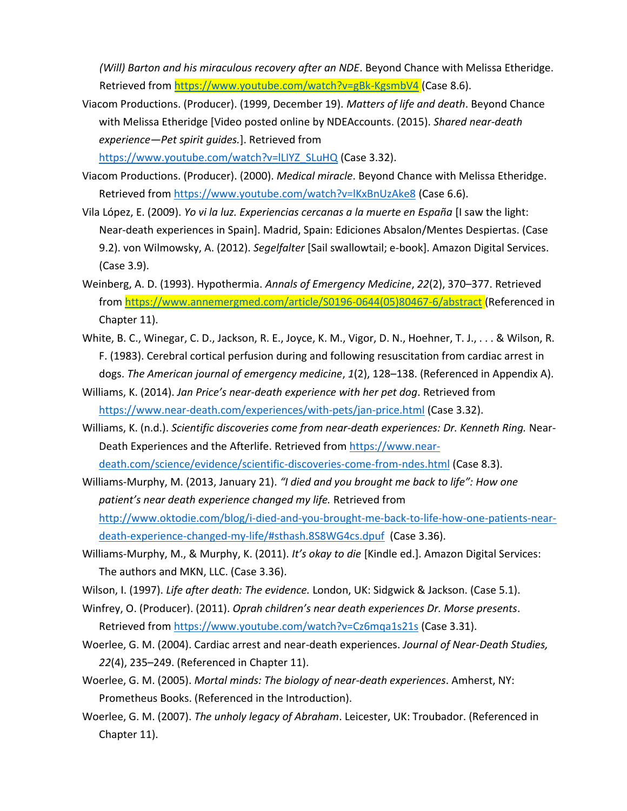*(Will) Barton and his miraculous recovery after an NDE*. Beyond Chance with Melissa Etheridge. Retrieved from<https://www.youtube.com/watch?v=gBk-KgsmbV4> (Case 8.6).

Viacom Productions. (Producer). (1999, December 19). *Matters of life and death*. Beyond Chance with Melissa Etheridge [Video posted online by NDEAccounts. (2015). *Shared near-death experience—Pet spirit guides.*]. Retrieved from

https://www.youtube.com/watch?v=ILIYZ\_SLuHQ (Case 3.32).

- Viacom Productions. (Producer). (2000). *Medical miracle*. Beyond Chance with Melissa Etheridge. Retrieved from<https://www.youtube.com/watch?v=lKxBnUzAke8> (Case 6.6).
- Vila López, E. (2009). *Yo vi la luz. Experiencias cercanas a la muerte en España* [I saw the light: Near-death experiences in Spain]. Madrid, Spain: Ediciones Absalon/Mentes Despiertas. (Case 9.2). von Wilmowsky, A. (2012). *Segelfalter* [Sail swallowtail; e-book]. Amazon Digital Services. (Case 3.9).
- Weinberg, A. D. (1993). Hypothermia. *Annals of Emergency Medicine*, *22*(2), 370–377. Retrieved from [https://www.annemergmed.com/article/S0196-0644\(05\)80467-6/abstract](https://www.annemergmed.com/article/S0196-0644(05)80467-6/abstract) (Referenced in Chapter 11).
- White, B. C., Winegar, C. D., Jackson, R. E., Joyce, K. M., Vigor, D. N., Hoehner, T. J., . . . & Wilson, R. F. (1983). Cerebral cortical perfusion during and following resuscitation from cardiac arrest in dogs. *The American journal of emergency medicine*, *1*(2), 128–138. (Referenced in Appendix A).
- Williams, K. (2014). *Jan Price's near-death experience with her pet dog*. Retrieved from <https://www.near-death.com/experiences/with-pets/jan-price.html> (Case 3.32).
- Williams, K. (n.d.). *Scientific discoveries come from near-death experiences: Dr. Kenneth Ring.* NearDeath Experiences and the Afterlife. Retrieved from [https://www.near](https://www.near-death.com/science/evidence/scientific-discoveries-come-from-ndes.html)[death.com/science/evidence/scientific-discoveries-come-from-ndes.html](https://www.near-death.com/science/evidence/scientific-discoveries-come-from-ndes.html) (Case 8.3).
- Williams-Murphy, M. (2013, January 21). *"I died and you brought me back to life": How one patient's near death experience changed my life.* Retrieved from [http://www.oktodie.com/blog/i-died-and-you-brought-me-back-to-life-how-one-patients-near](http://www.oktodie.com/blog/i-died-and-you-brought-me-back-to-life-how-one-patients-near-death-experience-changed-my-life/#sthash.8S8WG4cs.dpuf)[death-experience-changed-my-life/#sthash.8S8WG4cs.dpuf](http://www.oktodie.com/blog/i-died-and-you-brought-me-back-to-life-how-one-patients-near-death-experience-changed-my-life/#sthash.8S8WG4cs.dpuf) (Case 3.36).
- Williams-Murphy, M., & Murphy, K. (2011). *It's okay to die* [Kindle ed.]. Amazon Digital Services: The authors and MKN, LLC. (Case 3.36).
- Wilson, I. (1997). *Life after death: The evidence.* London, UK: Sidgwick & Jackson. (Case 5.1).
- Winfrey, O. (Producer). (2011). *Oprah children's near death experiences Dr. Morse presents*. Retrieved from<https://www.youtube.com/watch?v=Cz6mqa1s21s> (Case 3.31).
- Woerlee, G. M. (2004). Cardiac arrest and near-death experiences. *Journal of Near-Death Studies, 22*(4), 235–249. (Referenced in Chapter 11).
- Woerlee, G. M. (2005). *Mortal minds: The biology of near-death experiences*. Amherst, NY: Prometheus Books. (Referenced in the Introduction).
- Woerlee, G. M. (2007). *The unholy legacy of Abraham*. Leicester, UK: Troubador. (Referenced in Chapter 11).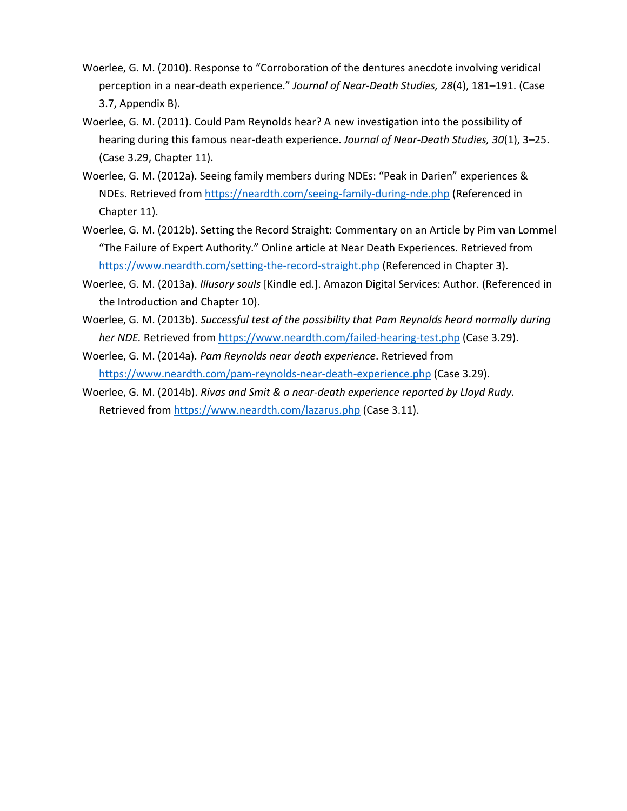- Woerlee, G. M. (2010). Response to "Corroboration of the dentures anecdote involving veridical perception in a near-death experience." *Journal of Near-Death Studies, 28*(4), 181–191. (Case 3.7, Appendix B).
- Woerlee, G. M. (2011). Could Pam Reynolds hear? A new investigation into the possibility of hearing during this famous near-death experience. *Journal of Near-Death Studies, 30*(1), 3–25. (Case 3.29, Chapter 11).
- Woerlee, G. M. (2012a). Seeing family members during NDEs: "Peak in Darien" experiences & NDEs. Retrieved from<https://neardth.com/seeing-family-during-nde.php> (Referenced in Chapter 11).
- Woerlee, G. M. (2012b). Setting the Record Straight: Commentary on an Article by Pim van Lommel "The Failure of Expert Authority." Online article at Near Death Experiences. Retrieved from <https://www.neardth.com/setting-the-record-straight.php> (Referenced in Chapter 3).
- Woerlee, G. M. (2013a). *Illusory souls* [Kindle ed.]. Amazon Digital Services: Author. (Referenced in the Introduction and Chapter 10).
- Woerlee, G. M. (2013b). *Successful test of the possibility that Pam Reynolds heard normally during her NDE.* Retrieved from<https://www.neardth.com/failed-hearing-test.php> (Case 3.29).
- Woerlee, G. M. (2014a). *Pam Reynolds near death experience*. Retrieved from <https://www.neardth.com/pam-reynolds-near-death-experience.php> (Case 3.29).
- Woerlee, G. M. (2014b). *Rivas and Smit & a near-death experience reported by Lloyd Rudy.* Retrieved from<https://www.neardth.com/lazarus.php> (Case 3.11).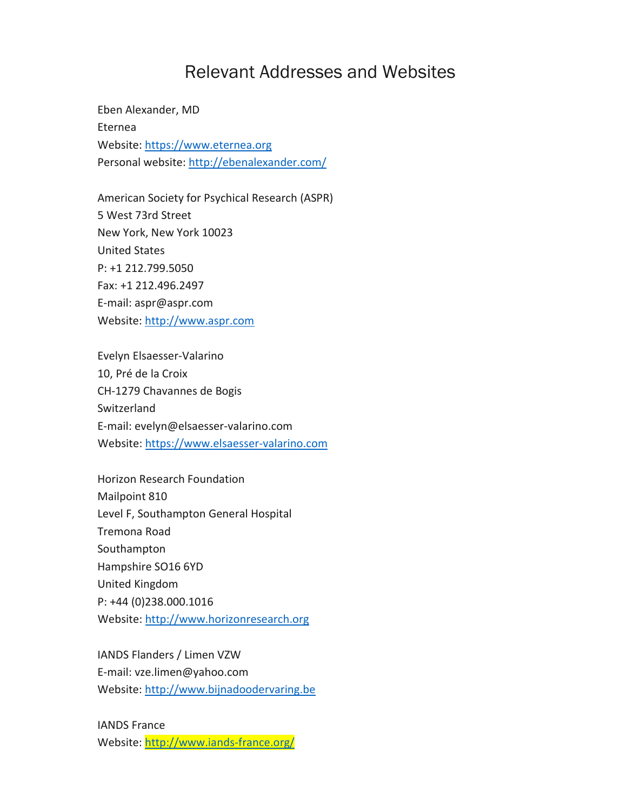## Relevant Addresses and Websites

Eben Alexander, MD Eternea Website: [https://www.eternea.org](https://www.eternea.org/) Personal website:<http://ebenalexander.com/>

American Society for Psychical Research (ASPR) 5 West 73rd Street New York, New York 10023 United States P: +1 212.799.5050 Fax: +1 212.496.2497 E-mail: aspr@aspr.com Website: [http://www.aspr.com](http://www.aspr.com/)

Evelyn Elsaesser-Valarino 10, Pré de la Croix CH-1279 Chavannes de Bogis Switzerland E-mail: evelyn@elsaesser-valarino.com Website[: https://www.elsaesser-valarino.com](https://www.elsaesser-valarino.com/)

Horizon Research Foundation Mailpoint 810 Level F, Southampton General Hospital Tremona Road Southampton Hampshire SO16 6YD United Kingdom P: +44 (0)238.000.1016 Website[: http://www.horizonresearch.org](http://www.horizonresearch.org/)

IANDS Flanders / Limen VZW E-mail: vze.limen@yahoo.com Website: [http://www.bijnadoodervaring.be](http://www.bijnadoodervaring.be/)

IANDS France Website:<http://www.iands-france.org/>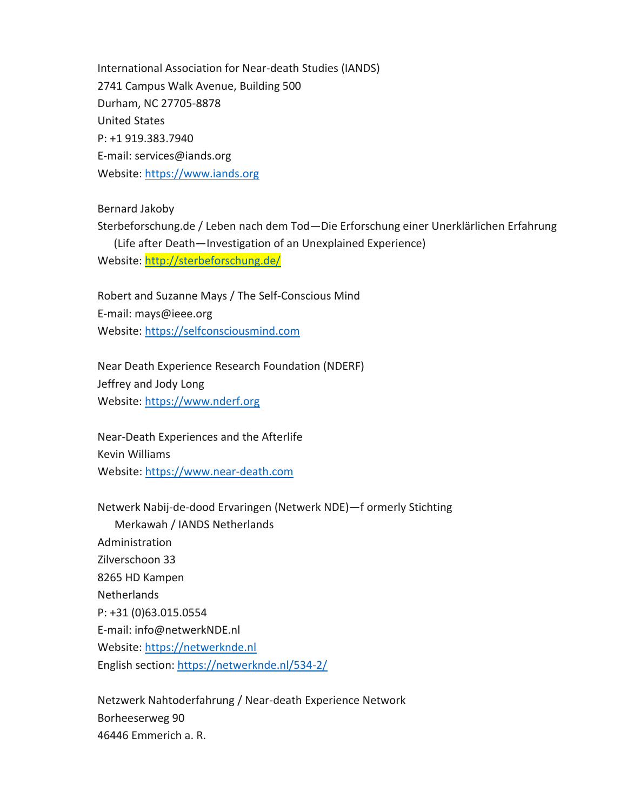International Association for Near-death Studies (IANDS) 2741 Campus Walk Avenue, Building 500 Durham, NC 27705-8878 United States P: +1 919.383.7940 E-mail: services@iands.org Website: [https://www.iands.org](https://www.iands.org/)

Bernard Jakoby

Sterbeforschung.de / Leben nach dem Tod—Die Erforschung einer Unerklärlichen Erfahrung (Life after Death—Investigation of an Unexplained Experience) Website:<http://sterbeforschung.de/>

Robert and Suzanne Mays / The Self-Conscious Mind E-mail: mays@ieee.org Website: [https://selfconsciousmind.com](https://selfconsciousmind.com/)

Near Death Experience Research Foundation (NDERF) Jeffrey and Jody Long Website: [https://www.nderf.org](https://www.nderf.org/)

Near-Death Experiences and the Afterlife Kevin Williams Website[: https://www.near-death.com](https://www.near-death.com/)

Netwerk Nabij-de-dood Ervaringen (Netwerk NDE)—f ormerly Stichting Merkawah / IANDS Netherlands Administration Zilverschoon 33 8265 HD Kampen Netherlands P: +31 (0)63.015.0554 E-mail: info@netwerkNDE.nl Website: [https://netwerknde.nl](https://netwerknde.nl/) English section:<https://netwerknde.nl/534-2/>

Netzwerk Nahtoderfahrung / Near-death Experience Network Borheeserweg 90 46446 Emmerich a. R.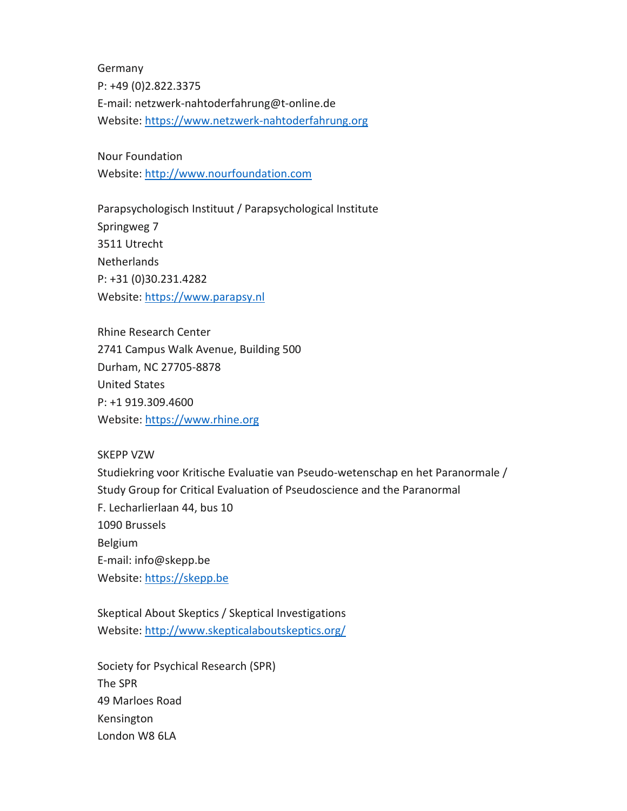Germany P: +49 (0)2.822.3375 E-mail: netzwerk-nahtoderfahrung@t-online.de Website: [https://www.netzwerk-nahtoderfahrung.org](https://www.netzwerk-nahtoderfahrung.org/)

Nour Foundation Website: [http://www.nourfoundation.com](http://www.nourfoundation.com/)

Parapsychologisch Instituut / Parapsychological Institute Springweg 7 3511 Utrecht Netherlands P: +31 (0)30.231.4282 Website: [https://www.parapsy.nl](https://www.parapsy.nl/)

Rhine Research Center 2741 Campus Walk Avenue, Building 500 Durham, NC 27705-8878 United States P: +1 919.309.4600 Website[: https://www.rhine.org](https://www.rhine.org/)

## SKEPP VZW

Studiekring voor Kritische Evaluatie van Pseudo-wetenschap en het Paranormale / Study Group for Critical Evaluation of Pseudoscience and the Paranormal F. Lecharlierlaan 44, bus 10 1090 Brussels Belgium E-mail: info@skepp.be Website: [https://skepp.be](https://skepp.be/)

Skeptical About Skeptics / Skeptical Investigations Website:<http://www.skepticalaboutskeptics.org/>

Society for Psychical Research (SPR) The SPR 49 Marloes Road Kensington London W8 6LA